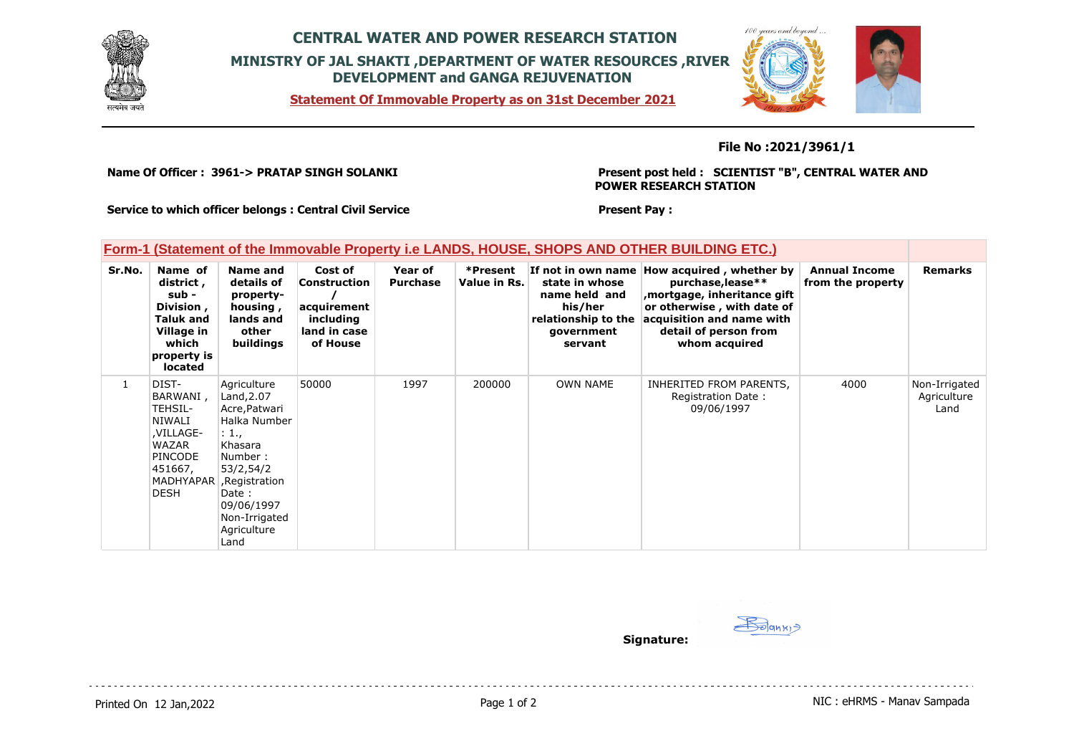

## **CENTRAL WATER AND POWER RESEARCH STATION MINISTRY OF JAL SHAKTI ,DEPARTMENT OF WATER RESOURCES ,RIVER DEVELOPMENT and GANGA REJUVENATION**

**Statement Of Immovable Property as on 31st December 2021**



**File No :2021/3961/1**

**Name Of Officer : 3961-> PRATAP SINGH SOLANKI** 

**Present post held : SCIENTIST "B", CENTRAL WATER AND POWER RESEARCH STATION**

**Service to which officer belongs : Central Civil Service**

## **Form-1 (Statement of the Immovable Property i.e LANDS, HOUSE, SHOPS AND OTHER BUILDING ETC.)**

| Sr.No.       | Name of<br>district,<br>sub -<br>Division,<br>Taluk and<br>Village in<br>which<br>property is<br>located | Name and<br>details of<br>property-<br>housing,<br>lands and<br>other<br>buildings                                                                                                                 | Cost of<br>Construction<br>acquirement<br>including<br>land in case<br>of House | Year of<br><b>Purchase</b> | *Present<br>Value in Rs. | state in whose<br>name held and<br>his/her<br>relationship to the<br>government<br>servant | If not in own name How acquired, whether by<br>purchase, lease**<br>mortgage, inheritance gift,<br>or otherwise, with date of<br>acquisition and name with<br>detail of person from<br>whom acquired | <b>Annual Income</b><br>from the property | <b>Remarks</b>                       |
|--------------|----------------------------------------------------------------------------------------------------------|----------------------------------------------------------------------------------------------------------------------------------------------------------------------------------------------------|---------------------------------------------------------------------------------|----------------------------|--------------------------|--------------------------------------------------------------------------------------------|------------------------------------------------------------------------------------------------------------------------------------------------------------------------------------------------------|-------------------------------------------|--------------------------------------|
| $\mathbf{1}$ | DIST-<br>BARWANI,<br>TEHSIL-<br>NIWALI<br>,VILLAGE-<br>WAZAR<br><b>PINCODE</b><br>451667,<br><b>DESH</b> | Agriculture<br>Land, 2.07<br>Acre, Patwari<br>Halka Number<br>: 1.,<br>Khasara<br>Number:<br>53/2,54/2<br>MADHYAPAR , Registration<br>Date :<br>09/06/1997<br>Non-Irrigated<br>Agriculture<br>Land | 50000                                                                           | 1997                       | 200000                   | <b>OWN NAME</b>                                                                            | INHERITED FROM PARENTS,<br>Registration Date:<br>09/06/1997                                                                                                                                          | 4000                                      | Non-Irrigated<br>Agriculture<br>Land |

**Present Pay :** 

Solank<sub>1</sub> **Signature:**